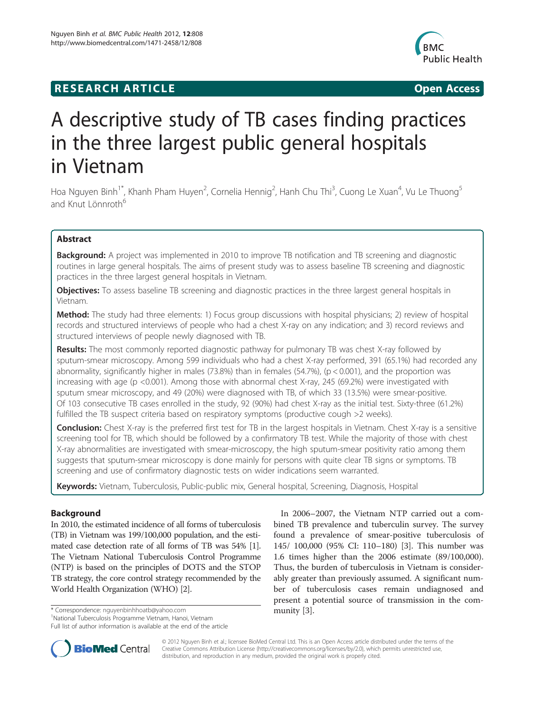# **RESEARCH ARTICLE Example 2018 12:00 Open Access**



# A descriptive study of TB cases finding practices in the three largest public general hospitals in Vietnam

Hoa Nguyen Binh<sup>1\*</sup>, Khanh Pham Huyen<sup>2</sup>, Cornelia Hennig<sup>2</sup>, Hanh Chu Thi<sup>3</sup>, Cuong Le Xuan<sup>4</sup>, Vu Le Thuong<sup>5</sup> and Knut Lönnroth<sup>6</sup>

# Abstract

**Background:** A project was implemented in 2010 to improve TB notification and TB screening and diagnostic routines in large general hospitals. The aims of present study was to assess baseline TB screening and diagnostic practices in the three largest general hospitals in Vietnam.

**Objectives:** To assess baseline TB screening and diagnostic practices in the three largest general hospitals in Vietnam.

**Method:** The study had three elements: 1) Focus group discussions with hospital physicians; 2) review of hospital records and structured interviews of people who had a chest X-ray on any indication; and 3) record reviews and structured interviews of people newly diagnosed with TB.

Results: The most commonly reported diagnostic pathway for pulmonary TB was chest X-ray followed by sputum-smear microscopy. Among 599 individuals who had a chest X-ray performed, 391 (65.1%) had recorded any abnormality, significantly higher in males  $(73.8%)$  than in females  $(54.7%)$ ,  $(p < 0.001)$ , and the proportion was increasing with age (p <0.001). Among those with abnormal chest X-ray, 245 (69.2%) were investigated with sputum smear microscopy, and 49 (20%) were diagnosed with TB, of which 33 (13.5%) were smear-positive. Of 103 consecutive TB cases enrolled in the study, 92 (90%) had chest X-ray as the initial test. Sixty-three (61.2%) fulfilled the TB suspect criteria based on respiratory symptoms (productive cough >2 weeks).

**Conclusion:** Chest X-ray is the preferred first test for TB in the largest hospitals in Vietnam. Chest X-ray is a sensitive screening tool for TB, which should be followed by a confirmatory TB test. While the majority of those with chest X-ray abnormalities are investigated with smear-microscopy, the high sputum-smear positivity ratio among them suggests that sputum-smear microscopy is done mainly for persons with quite clear TB signs or symptoms. TB screening and use of confirmatory diagnostic tests on wider indications seem warranted.

Keywords: Vietnam, Tuberculosis, Public-public mix, General hospital, Screening, Diagnosis, Hospital

# **Background**

In 2010, the estimated incidence of all forms of tuberculosis (TB) in Vietnam was 199/100,000 population, and the estimated case detection rate of all forms of TB was 54% [[1](#page-5-0)]. The Vietnam National Tuberculosis Control Programme (NTP) is based on the principles of DOTS and the STOP TB strategy, the core control strategy recommended by the World Health Organization (WHO) [[2\]](#page-5-0).

\* Correspondence: [nguyenbinhhoatb@yahoo.com](mailto:nguyenbinhhoatb@yahoo.com) munity [[3\]](#page-5-0).

Full list of author information is available at the end of the article

In 2006–2007, the Vietnam NTP carried out a combined TB prevalence and tuberculin survey. The survey found a prevalence of smear-positive tuberculosis of 145/ 100,000 (95% CI: 110–180) [[3\]](#page-5-0). This number was 1.6 times higher than the 2006 estimate (89/100,000). Thus, the burden of tuberculosis in Vietnam is considerably greater than previously assumed. A significant number of tuberculosis cases remain undiagnosed and present a potential source of transmission in the com-



© 2012 Nguyen Binh et al.; licensee BioMed Central Ltd. This is an Open Access article distributed under the terms of the Creative Commons Attribution License (<http://creativecommons.org/licenses/by/2.0>), which permits unrestricted use, distribution, and reproduction in any medium, provided the original work is properly cited.

National Tuberculosis Programme Vietnam, Hanoi, Vietnam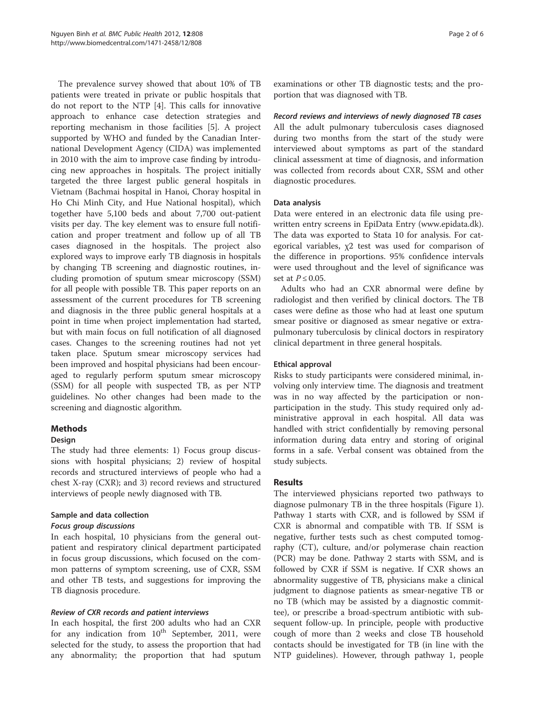The prevalence survey showed that about 10% of TB patients were treated in private or public hospitals that do not report to the NTP [[4](#page-5-0)]. This calls for innovative approach to enhance case detection strategies and reporting mechanism in those facilities [\[5](#page-5-0)]. A project supported by WHO and funded by the Canadian International Development Agency (CIDA) was implemented in 2010 with the aim to improve case finding by introducing new approaches in hospitals. The project initially targeted the three largest public general hospitals in Vietnam (Bachmai hospital in Hanoi, Choray hospital in Ho Chi Minh City, and Hue National hospital), which together have 5,100 beds and about 7,700 out-patient visits per day. The key element was to ensure full notification and proper treatment and follow up of all TB cases diagnosed in the hospitals. The project also explored ways to improve early TB diagnosis in hospitals by changing TB screening and diagnostic routines, including promotion of sputum smear microscopy (SSM) for all people with possible TB. This paper reports on an assessment of the current procedures for TB screening and diagnosis in the three public general hospitals at a point in time when project implementation had started, but with main focus on full notification of all diagnosed cases. Changes to the screening routines had not yet taken place. Sputum smear microscopy services had been improved and hospital physicians had been encouraged to regularly perform sputum smear microscopy (SSM) for all people with suspected TB, as per NTP guidelines. No other changes had been made to the screening and diagnostic algorithm.

# Methods

#### Design

The study had three elements: 1) Focus group discussions with hospital physicians; 2) review of hospital records and structured interviews of people who had a chest X-ray (CXR); and 3) record reviews and structured interviews of people newly diagnosed with TB.

# Sample and data collection

# Focus group discussions

In each hospital, 10 physicians from the general outpatient and respiratory clinical department participated in focus group discussions, which focused on the common patterns of symptom screening, use of CXR, SSM and other TB tests, and suggestions for improving the TB diagnosis procedure.

# Review of CXR records and patient interviews

In each hospital, the first 200 adults who had an CXR for any indication from  $10^{th}$  September, 2011, were selected for the study, to assess the proportion that had any abnormality; the proportion that had sputum examinations or other TB diagnostic tests; and the proportion that was diagnosed with TB.

#### Record reviews and interviews of newly diagnosed TB cases

All the adult pulmonary tuberculosis cases diagnosed during two months from the start of the study were interviewed about symptoms as part of the standard clinical assessment at time of diagnosis, and information was collected from records about CXR, SSM and other diagnostic procedures.

#### Data analysis

Data were entered in an electronic data file using prewritten entry screens in EpiData Entry ([www.epidata.dk](http://www.epidata.dk)). The data was exported to Stata 10 for analysis. For categorical variables, χ2 test was used for comparison of the difference in proportions. 95% confidence intervals were used throughout and the level of significance was set at  $P \leq 0.05$ .

Adults who had an CXR abnormal were define by radiologist and then verified by clinical doctors. The TB cases were define as those who had at least one sputum smear positive or diagnosed as smear negative or extrapulmonary tuberculosis by clinical doctors in respiratory clinical department in three general hospitals.

# Ethical approval

Risks to study participants were considered minimal, involving only interview time. The diagnosis and treatment was in no way affected by the participation or nonparticipation in the study. This study required only administrative approval in each hospital. All data was handled with strict confidentially by removing personal information during data entry and storing of original forms in a safe. Verbal consent was obtained from the study subjects.

# Results

The interviewed physicians reported two pathways to diagnose pulmonary TB in the three hospitals (Figure [1](#page-2-0)). Pathway 1 starts with CXR, and is followed by SSM if CXR is abnormal and compatible with TB. If SSM is negative, further tests such as chest computed tomography (CT), culture, and/or polymerase chain reaction (PCR) may be done. Pathway 2 starts with SSM, and is followed by CXR if SSM is negative. If CXR shows an abnormality suggestive of TB, physicians make a clinical judgment to diagnose patients as smear-negative TB or no TB (which may be assisted by a diagnostic committee), or prescribe a broad-spectrum antibiotic with subsequent follow-up. In principle, people with productive cough of more than 2 weeks and close TB household contacts should be investigated for TB (in line with the NTP guidelines). However, through pathway 1, people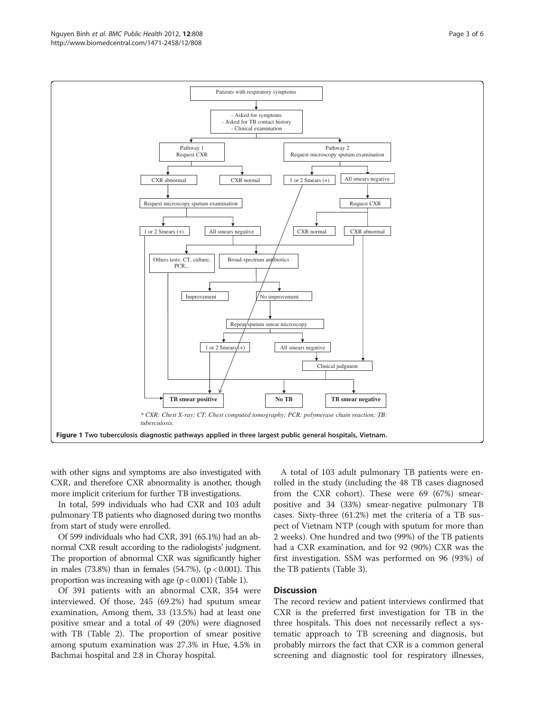with other signs and symptoms are also investigated with CXR, and therefore CXR abnormality is another, though more implicit criterium for further TB investigations.

In total, 599 individuals who had CXR and 103 adult pulmonary TB patients who diagnosed during two months from start of study were enrolled.

Of 599 individuals who had CXR, 391 (65.1%) had an abnormal CXR result according to the radiologists' judgment. The proportion of abnormal CXR was significantly higher in males  $(73.8%)$  than in females  $(54.7%)$ ,  $(p < 0.001)$ . This proportion was increasing with age  $(p < 0.001)$  (Table [1\)](#page-3-0).

Of 391 patients with an abnormal CXR, 354 were interviewed. Of those, 245 (69.2%) had sputum smear examination, Among them, 33 (13.5%) had at least one positive smear and a total of 49 (20%) were diagnosed with TB (Table [2](#page-3-0)). The proportion of smear positive among sputum examination was 27.3% in Hue, 4.5% in Bachmai hospital and 2.8 in Choray hospital.

A total of 103 adult pulmonary TB patients were enrolled in the study (including the 48 TB cases diagnosed from the CXR cohort). These were 69 (67%) smearpositive and 34 (33%) smear-negative pulmonary TB cases. Sixty-three (61.2%) met the criteria of a TB suspect of Vietnam NTP (cough with sputum for more than 2 weeks). One hundred and two (99%) of the TB patients had a CXR examination, and for 92 (90%) CXR was the first investigation. SSM was performed on 96 (93%) of the TB patients (Table [3\)](#page-4-0).

#### **Discussion**

The record review and patient interviews confirmed that CXR is the preferred first investigation for TB in the three hospitals. This does not necessarily reflect a systematic approach to TB screening and diagnosis, but probably mirrors the fact that CXR is a common general screening and diagnostic tool for respiratory illnesses,

<span id="page-2-0"></span>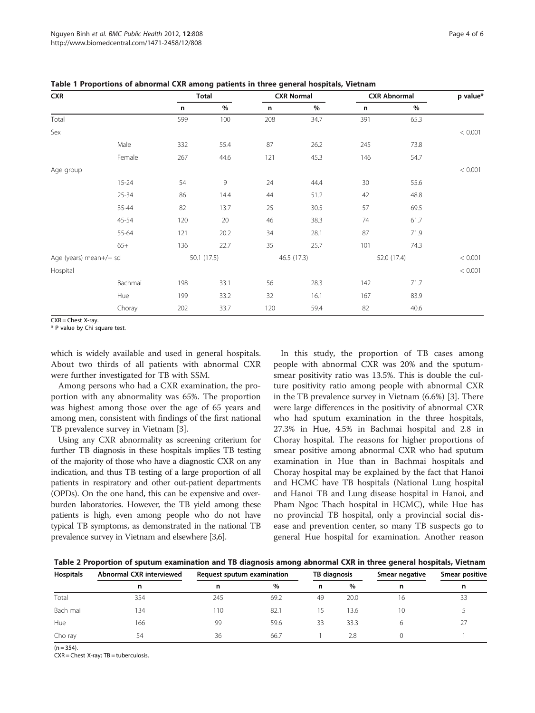| <b>CXR</b>             |           | <b>Total</b> |      |             | <b>CXR Normal</b> | <b>CXR Abnormal</b> |      | p value* |
|------------------------|-----------|--------------|------|-------------|-------------------|---------------------|------|----------|
|                        |           | n            | $\%$ | n           | $\%$              | n                   | %    |          |
| Total                  |           | 599          | 100  | 208         | 34.7              | 391                 | 65.3 |          |
| Sex                    |           |              |      |             |                   |                     |      | < 0.001  |
|                        | Male      | 332          | 55.4 | 87          | 26.2              | 245                 | 73.8 |          |
|                        | Female    | 267          | 44.6 | 121         | 45.3              | 146                 | 54.7 |          |
| Age group              |           |              |      |             |                   |                     |      | < 0.001  |
|                        | $15 - 24$ | 54           | 9    | 24          | 44.4              | 30                  | 55.6 |          |
|                        | $25 - 34$ | 86           | 14.4 | 44          | 51.2              | 42                  | 48.8 |          |
|                        | 35-44     | 82           | 13.7 | 25          | 30.5              | 57                  | 69.5 |          |
|                        | 45-54     | 120          | 20   | 46          | 38.3              | 74                  | 61.7 |          |
|                        | 55-64     | 121          | 20.2 | 34          | 28.1              | 87                  | 71.9 |          |
|                        | $65+$     | 136          | 22.7 | 35          | 25.7              | 101                 | 74.3 |          |
| Age (years) mean+/- sd |           | 50.1 (17.5)  |      | 46.5 (17.3) |                   | 52.0 (17.4)         |      | < 0.001  |
| Hospital               |           |              |      |             |                   |                     |      | < 0.001  |
|                        | Bachmai   | 198          | 33.1 | 56          | 28.3              | 142                 | 71.7 |          |
|                        | Hue       | 199          | 33.2 | 32          | 16.1              | 167                 | 83.9 |          |
|                        | Choray    | 202          | 33.7 | 120         | 59.4              | 82                  | 40.6 |          |

<span id="page-3-0"></span>Table 1 Proportions of abnormal CXR among patients in three general hospitals, Vietnam

CXR = Chest X-ray.

\* P value by Chi square test.

which is widely available and used in general hospitals. About two thirds of all patients with abnormal CXR were further investigated for TB with SSM.

Among persons who had a CXR examination, the proportion with any abnormality was 65%. The proportion was highest among those over the age of 65 years and among men, consistent with findings of the first national TB prevalence survey in Vietnam [[3\]](#page-5-0).

Using any CXR abnormality as screening criterium for further TB diagnosis in these hospitals implies TB testing of the majority of those who have a diagnostic CXR on any indication, and thus TB testing of a large proportion of all patients in respiratory and other out-patient departments (OPDs). On the one hand, this can be expensive and overburden laboratories. However, the TB yield among these patients is high, even among people who do not have typical TB symptoms, as demonstrated in the national TB prevalence survey in Vietnam and elsewhere [\[3,6](#page-5-0)].

In this study, the proportion of TB cases among people with abnormal CXR was 20% and the sputumsmear positivity ratio was 13.5%. This is double the culture positivity ratio among people with abnormal CXR in the TB prevalence survey in Vietnam (6.6%) [\[3](#page-5-0)]. There were large differences in the positivity of abnormal CXR who had sputum examination in the three hospitals, 27.3% in Hue, 4.5% in Bachmai hospital and 2.8 in Choray hospital. The reasons for higher proportions of smear positive among abnormal CXR who had sputum examination in Hue than in Bachmai hospitals and Choray hospital may be explained by the fact that Hanoi and HCMC have TB hospitals (National Lung hospital and Hanoi TB and Lung disease hospital in Hanoi, and Pham Ngoc Thach hospital in HCMC), while Hue has no provincial TB hospital, only a provincial social disease and prevention center, so many TB suspects go to general Hue hospital for examination. Another reason

Table 2 Proportion of sputum examination and TB diagnosis among abnormal CXR in three general hospitals, Vietnam

| <b>Hospitals</b> | Abnormal CXR interviewed | Request sputum examination | TB diagnosis |    | Smear negative | Smear positive |    |
|------------------|--------------------------|----------------------------|--------------|----|----------------|----------------|----|
|                  | n                        | n                          | $\%$         | n  | %              |                | n  |
| Total            | 354                      | 245                        | 69.2         | 49 | 20.0           | 16             | 33 |
| Bach mai         | 134                      | 110                        | 82.1         | 15 | 13.6           | 10             |    |
| Hue              | 166                      | 99                         | 59.6         | 33 | 33.3           |                |    |
| Cho ray          | 54                       | 36                         | 66.7         |    | 2.8            |                |    |

 $(n = 354)$ .

CXR = Chest X-ray; TB = tuberculosis.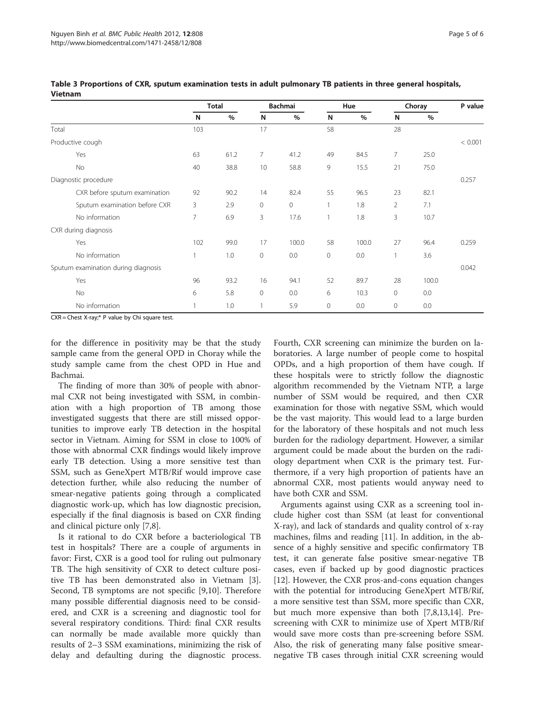|                                     | <b>Total</b>   |      | Bachmai        |              | Hue          |       | Choray         |       | P value |
|-------------------------------------|----------------|------|----------------|--------------|--------------|-------|----------------|-------|---------|
|                                     | N              | %    | N              | %            | N            | %     | N              | %     |         |
| Total                               | 103            |      | 17             |              | 58           |       | 28             |       |         |
| Productive cough                    |                |      |                |              |              |       |                |       | < 0.001 |
| Yes                                 | 63             | 61.2 | $\overline{7}$ | 41.2         | 49           | 84.5  | $\overline{7}$ | 25.0  |         |
| No                                  | 40             | 38.8 | 10             | 58.8         | 9            | 15.5  | 21             | 75.0  |         |
| Diagnostic procedure                |                |      |                |              |              |       |                |       | 0.257   |
| CXR before sputum examination       | 92             | 90.2 | 14             | 82.4         | 55           | 96.5  | 23             | 82.1  |         |
| Sputum examination before CXR       | 3              | 2.9  | 0              | $\mathbf{0}$ |              | 1.8   | $\overline{2}$ | 7.1   |         |
| No information                      | $\overline{7}$ | 6.9  | 3              | 17.6         |              | 1.8   | 3              | 10.7  |         |
| CXR during diagnosis                |                |      |                |              |              |       |                |       |         |
| Yes                                 | 102            | 99.0 | 17             | 100.0        | 58           | 100.0 | 27             | 96.4  | 0.259   |
| No information                      |                | 1.0  | $\mathbf 0$    | 0.0          | $\circ$      | 0.0   |                | 3.6   |         |
| Sputum examination during diagnosis |                |      |                |              |              |       |                |       | 0.042   |
| Yes                                 | 96             | 93.2 | 16             | 94.1         | 52           | 89.7  | 28             | 100.0 |         |
| No                                  | 6              | 5.8  | $\mathbf 0$    | 0.0          | 6            | 10.3  | $\mathbf 0$    | 0.0   |         |
| No information                      |                | 1.0  |                | 5.9          | $\mathbf{0}$ | 0.0   | $\mathbf{0}$   | 0.0   |         |

<span id="page-4-0"></span>Table 3 Proportions of CXR, sputum examination tests in adult pulmonary TB patients in three general hospitals, Vietnam

CXR = Chest X-ray;\* P value by Chi square test.

for the difference in positivity may be that the study sample came from the general OPD in Choray while the study sample came from the chest OPD in Hue and Bachmai.

The finding of more than 30% of people with abnormal CXR not being investigated with SSM, in combination with a high proportion of TB among those investigated suggests that there are still missed opportunities to improve early TB detection in the hospital sector in Vietnam. Aiming for SSM in close to 100% of those with abnormal CXR findings would likely improve early TB detection. Using a more sensitive test than SSM, such as GeneXpert MTB/Rif would improve case detection further, while also reducing the number of smear-negative patients going through a complicated diagnostic work-up, which has low diagnostic precision, especially if the final diagnosis is based on CXR finding and clinical picture only [[7,8\]](#page-5-0).

Is it rational to do CXR before a bacteriological TB test in hospitals? There are a couple of arguments in favor: First, CXR is a good tool for ruling out pulmonary TB. The high sensitivity of CXR to detect culture positive TB has been demonstrated also in Vietnam [\[3](#page-5-0)]. Second, TB symptoms are not specific [\[9,10](#page-5-0)]. Therefore many possible differential diagnosis need to be considered, and CXR is a screening and diagnostic tool for several respiratory conditions. Third: final CXR results can normally be made available more quickly than results of 2–3 SSM examinations, minimizing the risk of delay and defaulting during the diagnostic process.

Fourth, CXR screening can minimize the burden on laboratories. A large number of people come to hospital OPDs, and a high proportion of them have cough. If these hospitals were to strictly follow the diagnostic algorithm recommended by the Vietnam NTP, a large number of SSM would be required, and then CXR examination for those with negative SSM, which would be the vast majority. This would lead to a large burden for the laboratory of these hospitals and not much less burden for the radiology department. However, a similar argument could be made about the burden on the radiology department when CXR is the primary test. Furthermore, if a very high proportion of patients have an abnormal CXR, most patients would anyway need to have both CXR and SSM.

Arguments against using CXR as a screening tool include higher cost than SSM (at least for conventional X-ray), and lack of standards and quality control of x-ray machines, films and reading [[11\]](#page-5-0). In addition, in the absence of a highly sensitive and specific confirmatory TB test, it can generate false positive smear-negative TB cases, even if backed up by good diagnostic practices [[12\]](#page-5-0). However, the CXR pros-and-cons equation changes with the potential for introducing GeneXpert MTB/Rif, a more sensitive test than SSM, more specific than CXR, but much more expensive than both [[7,8,13,14\]](#page-5-0). Prescreening with CXR to minimize use of Xpert MTB/Rif would save more costs than pre-screening before SSM. Also, the risk of generating many false positive smearnegative TB cases through initial CXR screening would